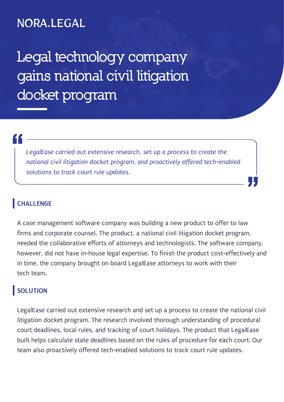## NORA.LEGAL

**Legal technology company gains national civil litigation docket program**

# "<br>|<br>|

LegalEase carried out extensive research, set up a process to create the *national civil litigation docket program, and proactively offered tech-enabled solutions to track court rule updates.*

### **CHALLENGE**

A case management software company was building a new product to offer to law firms and corporate counsel. The product, a national civil litigation docket program, needed the collaborative efforts of attorneys and technologists. The software company, however, did not have in-house legal expertise. To finish the product cost-effectively and in time, the company brought on board LegalEase attorneys to work with their tech team.

"

#### **SOLUTION**

LegalEase carried out extensive research and set up a process to create the national civil litigation docket program. The research involved thorough understanding of procedural court deadlines, local rules, and tracking of court holidays. The product that LegalEase built helps calculate state deadlines based on the rules of procedure for each court. Our team also proactively offered tech-enabled solutions to track court rule updates.